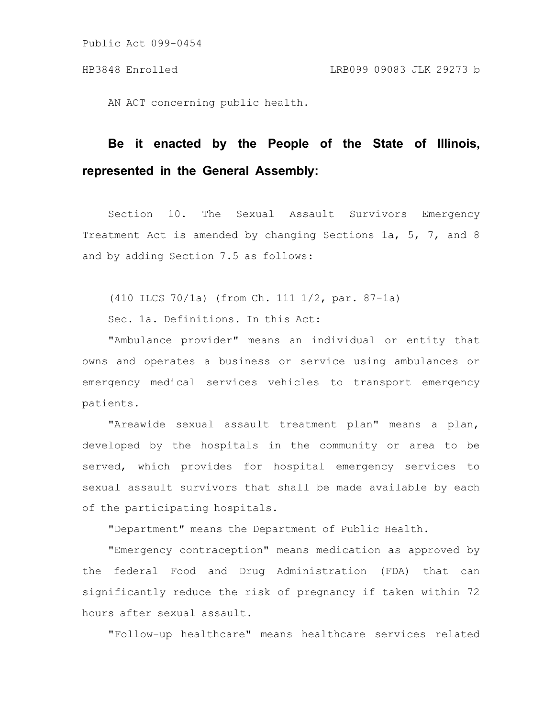AN ACT concerning public health.

## **Be it enacted by the People of the State of Illinois, represented in the General Assembly:**

Section 10. The Sexual Assault Survivors Emergency Treatment Act is amended by changing Sections 1a, 5, 7, and 8 and by adding Section 7.5 as follows:

(410 ILCS 70/1a) (from Ch. 111 1/2, par. 87-1a)

Sec. 1a. Definitions. In this Act:

"Ambulance provider" means an individual or entity that owns and operates a business or service using ambulances or emergency medical services vehicles to transport emergency patients.

"Areawide sexual assault treatment plan" means a plan, developed by the hospitals in the community or area to be served, which provides for hospital emergency services to sexual assault survivors that shall be made available by each of the participating hospitals.

"Department" means the Department of Public Health.

"Emergency contraception" means medication as approved by the federal Food and Drug Administration (FDA) that can significantly reduce the risk of pregnancy if taken within 72 hours after sexual assault.

"Follow-up healthcare" means healthcare services related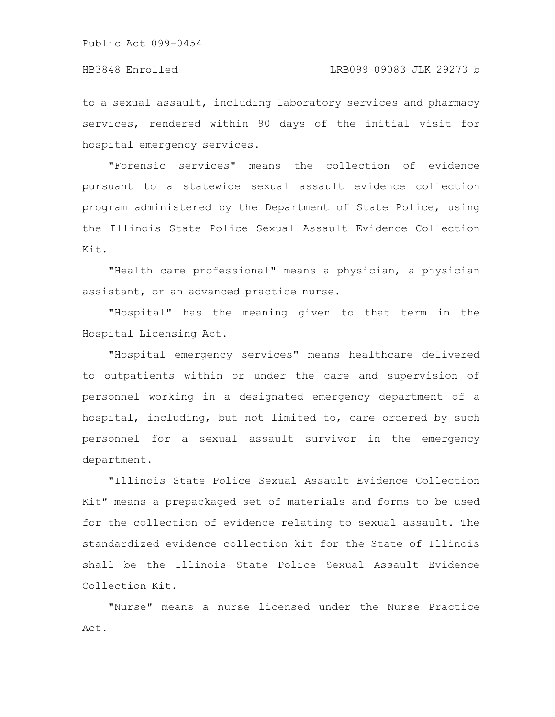## HB3848 Enrolled LRB099 09083 JLK 29273 b

to a sexual assault, including laboratory services and pharmacy services, rendered within 90 days of the initial visit for hospital emergency services.

"Forensic services" means the collection of evidence pursuant to a statewide sexual assault evidence collection program administered by the Department of State Police, using the Illinois State Police Sexual Assault Evidence Collection Kit.

"Health care professional" means a physician, a physician assistant, or an advanced practice nurse.

"Hospital" has the meaning given to that term in the Hospital Licensing Act.

"Hospital emergency services" means healthcare delivered to outpatients within or under the care and supervision of personnel working in a designated emergency department of a hospital, including, but not limited to, care ordered by such personnel for a sexual assault survivor in the emergency department.

"Illinois State Police Sexual Assault Evidence Collection Kit" means a prepackaged set of materials and forms to be used for the collection of evidence relating to sexual assault. The standardized evidence collection kit for the State of Illinois shall be the Illinois State Police Sexual Assault Evidence Collection Kit.

"Nurse" means a nurse licensed under the Nurse Practice Act.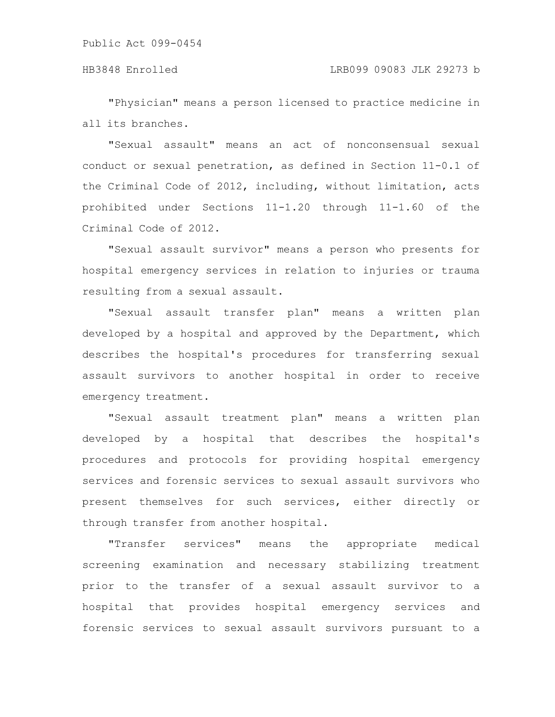"Physician" means a person licensed to practice medicine in all its branches.

"Sexual assault" means an act of nonconsensual sexual conduct or sexual penetration, as defined in Section 11-0.1 of the Criminal Code of 2012, including, without limitation, acts prohibited under Sections 11-1.20 through 11-1.60 of the Criminal Code of 2012.

"Sexual assault survivor" means a person who presents for hospital emergency services in relation to injuries or trauma resulting from a sexual assault.

"Sexual assault transfer plan" means a written plan developed by a hospital and approved by the Department, which describes the hospital's procedures for transferring sexual assault survivors to another hospital in order to receive emergency treatment.

"Sexual assault treatment plan" means a written plan developed by a hospital that describes the hospital's procedures and protocols for providing hospital emergency services and forensic services to sexual assault survivors who present themselves for such services, either directly or through transfer from another hospital.

"Transfer services" means the appropriate medical screening examination and necessary stabilizing treatment prior to the transfer of a sexual assault survivor to a hospital that provides hospital emergency services and forensic services to sexual assault survivors pursuant to a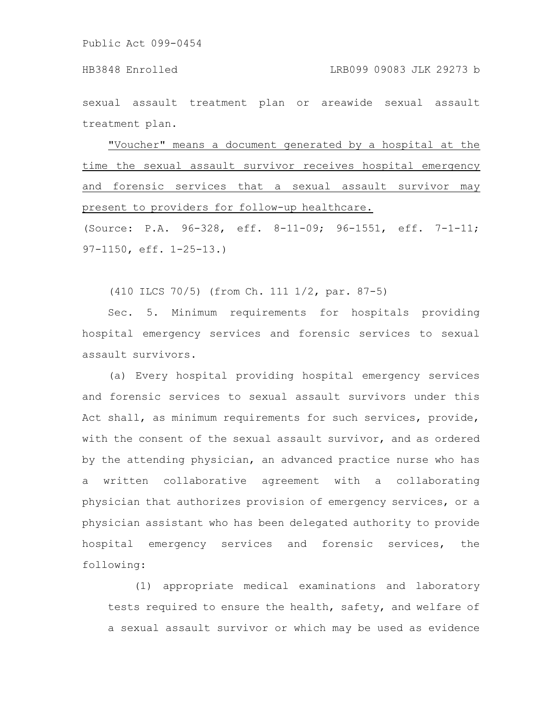sexual assault treatment plan or areawide sexual assault treatment plan.

"Voucher" means a document generated by a hospital at the time the sexual assault survivor receives hospital emergency and forensic services that a sexual assault survivor may present to providers for follow-up healthcare.

(Source: P.A. 96-328, eff. 8-11-09; 96-1551, eff. 7-1-11; 97-1150, eff. 1-25-13.)

(410 ILCS 70/5) (from Ch. 111 1/2, par. 87-5)

Sec. 5. Minimum requirements for hospitals providing hospital emergency services and forensic services to sexual assault survivors.

(a) Every hospital providing hospital emergency services and forensic services to sexual assault survivors under this Act shall, as minimum requirements for such services, provide, with the consent of the sexual assault survivor, and as ordered by the attending physician, an advanced practice nurse who has a written collaborative agreement with a collaborating physician that authorizes provision of emergency services, or a physician assistant who has been delegated authority to provide hospital emergency services and forensic services, the following:

(1) appropriate medical examinations and laboratory tests required to ensure the health, safety, and welfare of a sexual assault survivor or which may be used as evidence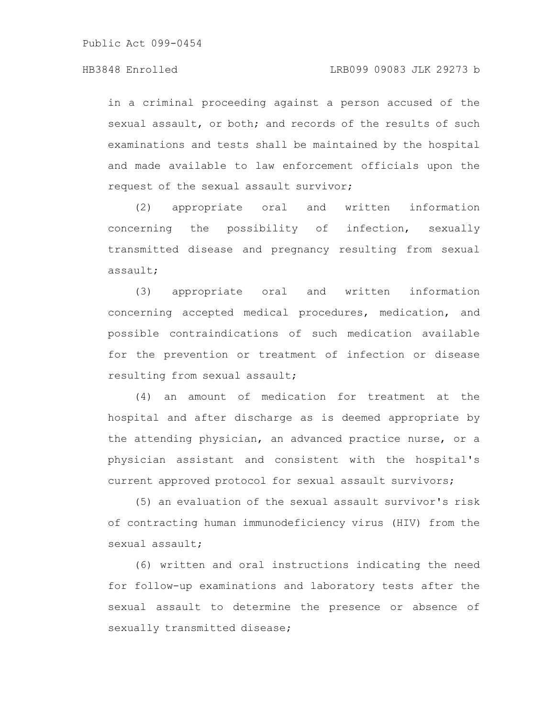in a criminal proceeding against a person accused of the sexual assault, or both; and records of the results of such examinations and tests shall be maintained by the hospital and made available to law enforcement officials upon the request of the sexual assault survivor;

(2) appropriate oral and written information concerning the possibility of infection, sexually transmitted disease and pregnancy resulting from sexual assault;

(3) appropriate oral and written information concerning accepted medical procedures, medication, and possible contraindications of such medication available for the prevention or treatment of infection or disease resulting from sexual assault;

(4) an amount of medication for treatment at the hospital and after discharge as is deemed appropriate by the attending physician, an advanced practice nurse, or a physician assistant and consistent with the hospital's current approved protocol for sexual assault survivors;

(5) an evaluation of the sexual assault survivor's risk of contracting human immunodeficiency virus (HIV) from the sexual assault;

(6) written and oral instructions indicating the need for follow-up examinations and laboratory tests after the sexual assault to determine the presence or absence of sexually transmitted disease;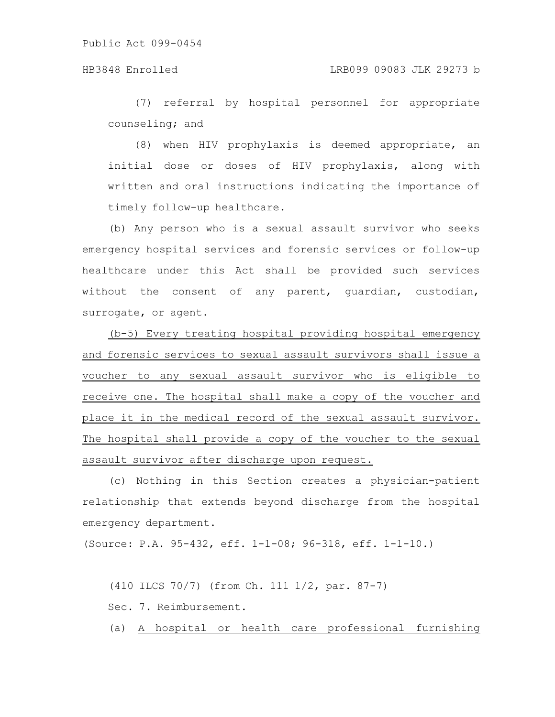(7) referral by hospital personnel for appropriate counseling; and

(8) when HIV prophylaxis is deemed appropriate, an initial dose or doses of HIV prophylaxis, along with written and oral instructions indicating the importance of timely follow-up healthcare.

(b) Any person who is a sexual assault survivor who seeks emergency hospital services and forensic services or follow-up healthcare under this Act shall be provided such services without the consent of any parent, guardian, custodian, surrogate, or agent.

(b-5) Every treating hospital providing hospital emergency and forensic services to sexual assault survivors shall issue a voucher to any sexual assault survivor who is eligible to receive one. The hospital shall make a copy of the voucher and place it in the medical record of the sexual assault survivor. The hospital shall provide a copy of the voucher to the sexual assault survivor after discharge upon request.

(c) Nothing in this Section creates a physician-patient relationship that extends beyond discharge from the hospital emergency department.

(Source: P.A. 95-432, eff. 1-1-08; 96-318, eff. 1-1-10.)

(410 ILCS 70/7) (from Ch. 111 1/2, par. 87-7) Sec. 7. Reimbursement.

(a) A hospital or health care professional furnishing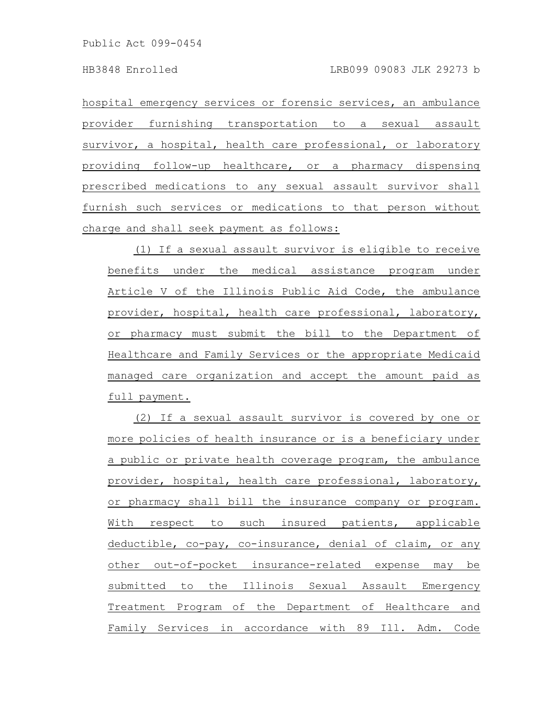hospital emergency services or forensic services, an ambulance provider furnishing transportation to a sexual assault survivor, a hospital, health care professional, or laboratory providing follow-up healthcare, or a pharmacy dispensing prescribed medications to any sexual assault survivor shall furnish such services or medications to that person without charge and shall seek payment as follows:

(1) If a sexual assault survivor is eligible to receive benefits under the medical assistance program under Article V of the Illinois Public Aid Code, the ambulance provider, hospital, health care professional, laboratory, or pharmacy must submit the bill to the Department of Healthcare and Family Services or the appropriate Medicaid managed care organization and accept the amount paid as full payment.

(2) If a sexual assault survivor is covered by one or more policies of health insurance or is a beneficiary under a public or private health coverage program, the ambulance provider, hospital, health care professional, laboratory, or pharmacy shall bill the insurance company or program. With respect to such insured patients, applicable deductible, co-pay, co-insurance, denial of claim, or any other out-of-pocket insurance-related expense may be submitted to the Illinois Sexual Assault Emergency Treatment Program of the Department of Healthcare and Family Services in accordance with 89 Ill. Adm. Code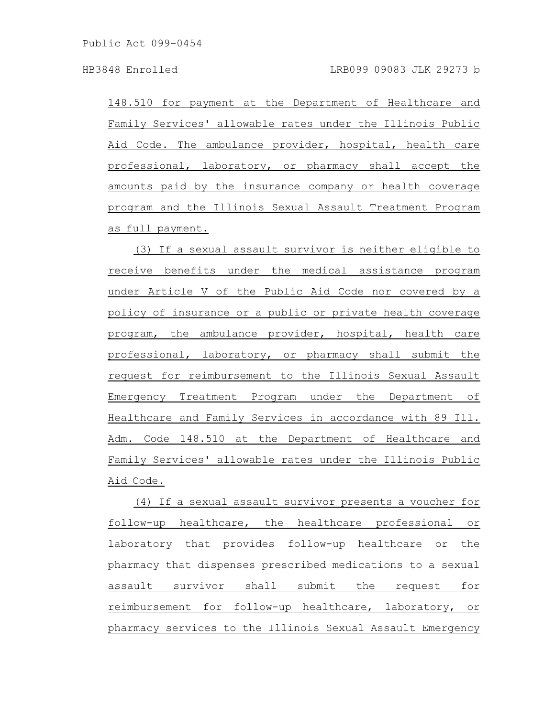148.510 for payment at the Department of Healthcare and Family Services' allowable rates under the Illinois Public Aid Code. The ambulance provider, hospital, health care professional, laboratory, or pharmacy shall accept the amounts paid by the insurance company or health coverage program and the Illinois Sexual Assault Treatment Program as full payment.

(3) If a sexual assault survivor is neither eligible to receive benefits under the medical assistance program under Article V of the Public Aid Code nor covered by a policy of insurance or a public or private health coverage program, the ambulance provider, hospital, health care professional, laboratory, or pharmacy shall submit the request for reimbursement to the Illinois Sexual Assault Emergency Treatment Program under the Department of Healthcare and Family Services in accordance with 89 Ill. Adm. Code 148.510 at the Department of Healthcare and Family Services' allowable rates under the Illinois Public Aid Code.

(4) If a sexual assault survivor presents a voucher for follow-up healthcare, the healthcare professional or laboratory that provides follow-up healthcare or the pharmacy that dispenses prescribed medications to a sexual assault survivor shall submit the request for reimbursement for follow-up healthcare, laboratory, or pharmacy services to the Illinois Sexual Assault Emergency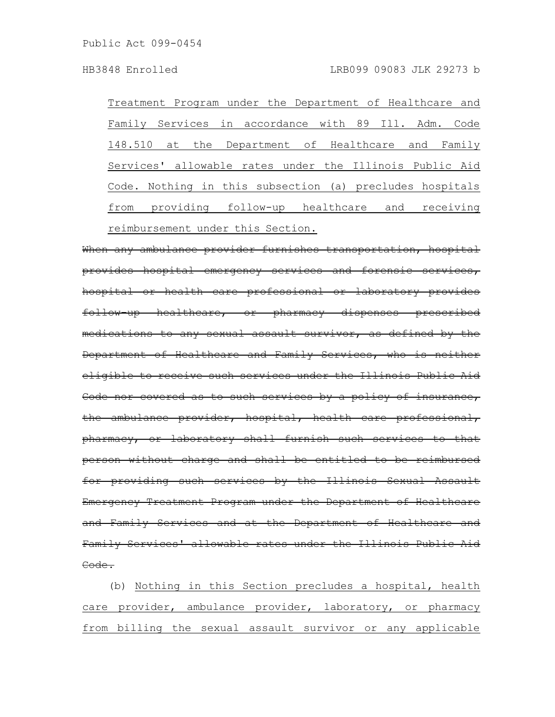Treatment Program under the Department of Healthcare and Family Services in accordance with 89 Ill. Adm. Code 148.510 at the Department of Healthcare and Family Services' allowable rates under the Illinois Public Aid Code. Nothing in this subsection (a) precludes hospitals from providing follow-up healthcare and receiving reimbursement under this Section.

When any ambulance provider furnishes transportation, hospital provides hospital emergency services and forensic services, hospital or health care professional or laboratory provides follow-up healthcare, or pharmacy dispenses prescribed medications to any sexual assault survivor, as defined by the Department of Healthcare and Family Services, who is eligible to receive such services under the Illinois Public Aid Code nor covered as to such services by a policy of insurance, the ambulance provider, hospital, health care professional, pharmacy, or laboratory shall furnish such services to that person without charge and shall be entitled to be reimbursed for providing such services by the Illinois Sexual Assault Emergency Treatment Program under the Department of Healthcare and Family Services and at the Department of Healthcare and Family Services' allowable rates under the Illinois Public Aid Code.

(b) Nothing in this Section precludes a hospital, health care provider, ambulance provider, laboratory, or pharmacy from billing the sexual assault survivor or any applicable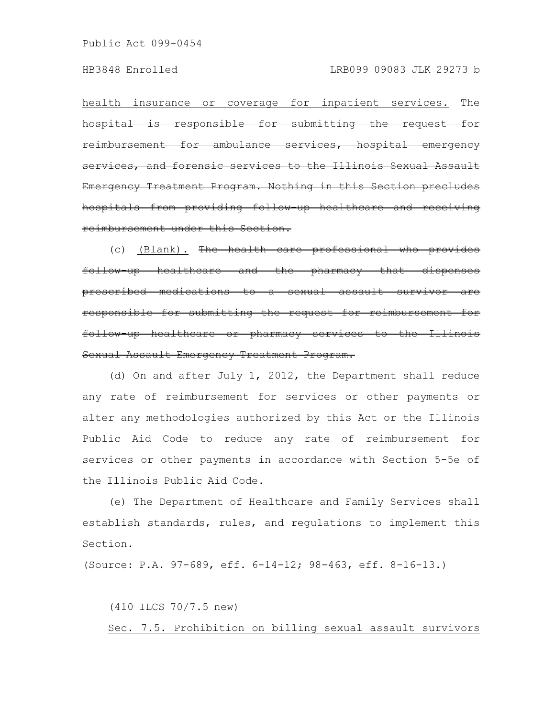health insurance or coverage for inpatient services. The hospital is responsible for submitting the request for reimbursement for ambulance services, hospital services, and forensic services to the Illinois Sexual Emergency Treatment Program. Nothing in this Section precludes hospitals from providing follow-up healthcare and receiving reimbursement under this Section.

(c) (Blank). The health care professional who provides follow-up healthcare and the pharmacy that dispenses prescribed medications to a sexual assault survivor are responsible for submitting the request for reimbursement follow-up healthcare or pharmacy services to the Illinois Sexual Assault Emergency Treatment Program.

(d) On and after July 1, 2012, the Department shall reduce any rate of reimbursement for services or other payments or alter any methodologies authorized by this Act or the Illinois Public Aid Code to reduce any rate of reimbursement for services or other payments in accordance with Section 5-5e of the Illinois Public Aid Code.

(e) The Department of Healthcare and Family Services shall establish standards, rules, and regulations to implement this Section.

(Source: P.A. 97-689, eff. 6-14-12; 98-463, eff. 8-16-13.)

(410 ILCS 70/7.5 new)

Sec. 7.5. Prohibition on billing sexual assault survivors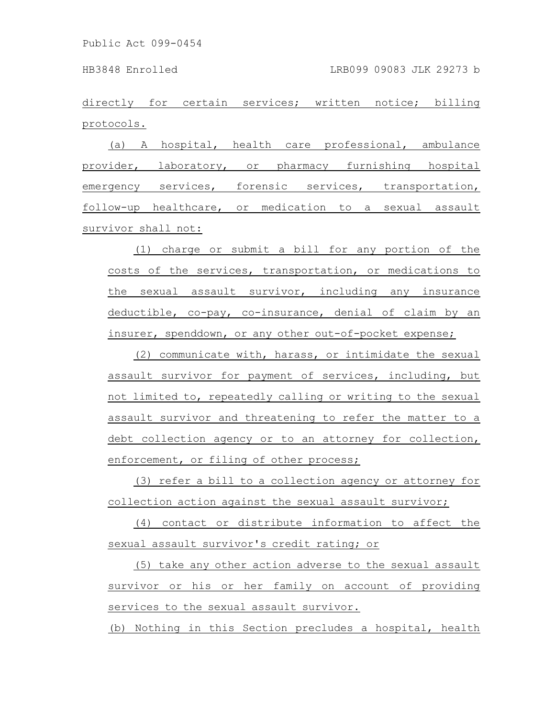directly for certain services; written notice; billing protocols.

(a) A hospital, health care professional, ambulance provider, laboratory, or pharmacy furnishing hospital emergency services, forensic services, transportation, follow-up healthcare, or medication to a sexual assault survivor shall not:

(1) charge or submit a bill for any portion of the costs of the services, transportation, or medications to the sexual assault survivor, including any insurance deductible, co-pay, co-insurance, denial of claim by an insurer, spenddown, or any other out-of-pocket expense;

(2) communicate with, harass, or intimidate the sexual assault survivor for payment of services, including, but not limited to, repeatedly calling or writing to the sexual assault survivor and threatening to refer the matter to a debt collection agency or to an attorney for collection, enforcement, or filing of other process;

(3) refer a bill to a collection agency or attorney for collection action against the sexual assault survivor;

(4) contact or distribute information to affect the sexual assault survivor's credit rating; or

(5) take any other action adverse to the sexual assault survivor or his or her family on account of providing services to the sexual assault survivor.

(b) Nothing in this Section precludes a hospital, health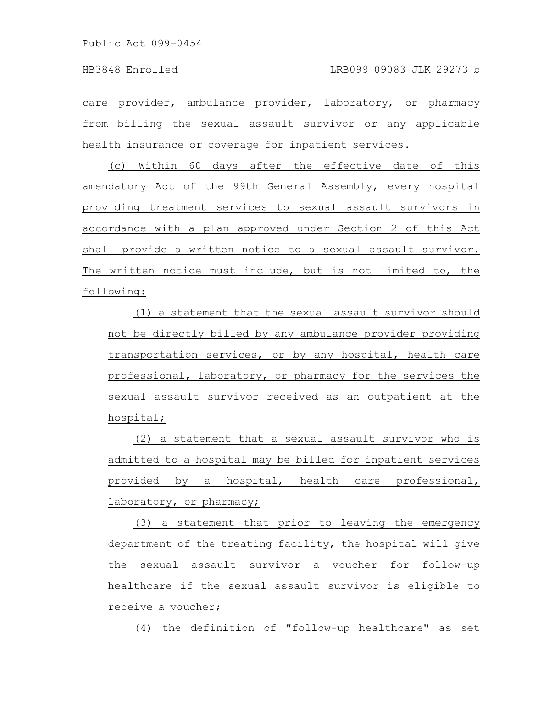care provider, ambulance provider, laboratory, or pharmacy from billing the sexual assault survivor or any applicable health insurance or coverage for inpatient services.

(c) Within 60 days after the effective date of this amendatory Act of the 99th General Assembly, every hospital providing treatment services to sexual assault survivors in accordance with a plan approved under Section 2 of this Act shall provide a written notice to a sexual assault survivor. The written notice must include, but is not limited to, the following:

(1) a statement that the sexual assault survivor should not be directly billed by any ambulance provider providing transportation services, or by any hospital, health care professional, laboratory, or pharmacy for the services the sexual assault survivor received as an outpatient at the hospital;

(2) a statement that a sexual assault survivor who is admitted to a hospital may be billed for inpatient services provided by a hospital, health care professional, laboratory, or pharmacy;

(3) a statement that prior to leaving the emergency department of the treating facility, the hospital will give the sexual assault survivor a voucher for follow-up healthcare if the sexual assault survivor is eligible to receive a voucher;

(4) the definition of "follow-up healthcare" as set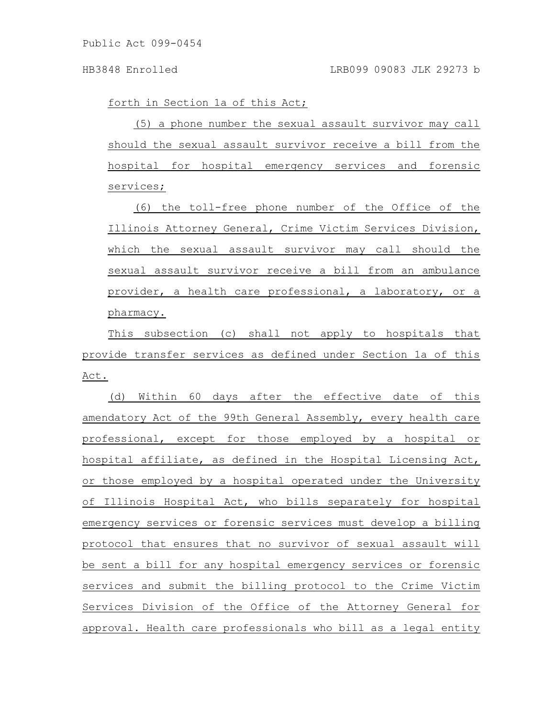forth in Section 1a of this Act;

(5) a phone number the sexual assault survivor may call should the sexual assault survivor receive a bill from the hospital for hospital emergency services and forensic services;

(6) the toll-free phone number of the Office of the Illinois Attorney General, Crime Victim Services Division, which the sexual assault survivor may call should the sexual assault survivor receive a bill from an ambulance provider, a health care professional, a laboratory, or a pharmacy.

This subsection (c) shall not apply to hospitals that provide transfer services as defined under Section 1a of this Act.

(d) Within 60 days after the effective date of this amendatory Act of the 99th General Assembly, every health care professional, except for those employed by a hospital or hospital affiliate, as defined in the Hospital Licensing Act, or those employed by a hospital operated under the University of Illinois Hospital Act, who bills separately for hospital emergency services or forensic services must develop a billing protocol that ensures that no survivor of sexual assault will be sent a bill for any hospital emergency services or forensic services and submit the billing protocol to the Crime Victim Services Division of the Office of the Attorney General for approval. Health care professionals who bill as a legal entity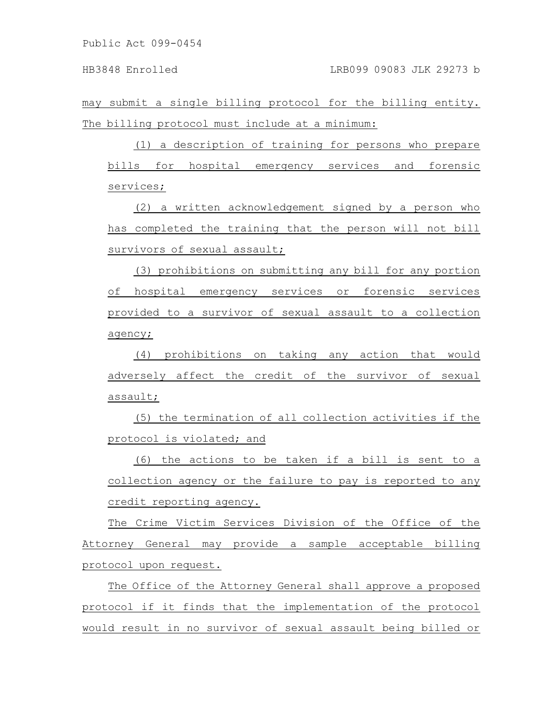may submit a single billing protocol for the billing entity. The billing protocol must include at a minimum:

(1) a description of training for persons who prepare bills for hospital emergency services and forensic services;

(2) a written acknowledgement signed by a person who has completed the training that the person will not bill survivors of sexual assault;

(3) prohibitions on submitting any bill for any portion of hospital emergency services or forensic services provided to a survivor of sexual assault to a collection agency;

(4) prohibitions on taking any action that would adversely affect the credit of the survivor of sexual assault;

(5) the termination of all collection activities if the protocol is violated; and

(6) the actions to be taken if a bill is sent to a collection agency or the failure to pay is reported to any credit reporting agency.

The Crime Victim Services Division of the Office of the Attorney General may provide a sample acceptable billing protocol upon request.

The Office of the Attorney General shall approve a proposed protocol if it finds that the implementation of the protocol would result in no survivor of sexual assault being billed or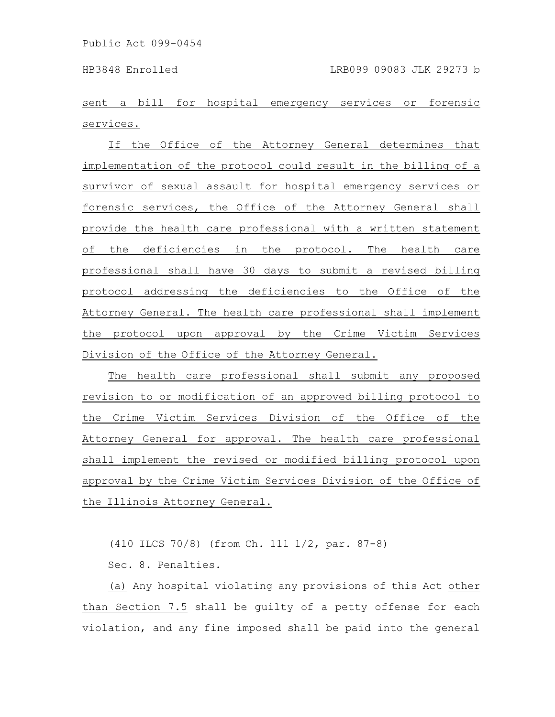sent a bill for hospital emergency services or forensic services.

If the Office of the Attorney General determines that implementation of the protocol could result in the billing of a survivor of sexual assault for hospital emergency services or forensic services, the Office of the Attorney General shall provide the health care professional with a written statement of the deficiencies in the protocol. The health care professional shall have 30 days to submit a revised billing protocol addressing the deficiencies to the Office of the Attorney General. The health care professional shall implement the protocol upon approval by the Crime Victim Services Division of the Office of the Attorney General.

The health care professional shall submit any proposed revision to or modification of an approved billing protocol to the Crime Victim Services Division of the Office of the Attorney General for approval. The health care professional shall implement the revised or modified billing protocol upon approval by the Crime Victim Services Division of the Office of the Illinois Attorney General.

(410 ILCS 70/8) (from Ch. 111 1/2, par. 87-8)

Sec. 8. Penalties.

(a) Any hospital violating any provisions of this Act other than Section 7.5 shall be guilty of a petty offense for each violation, and any fine imposed shall be paid into the general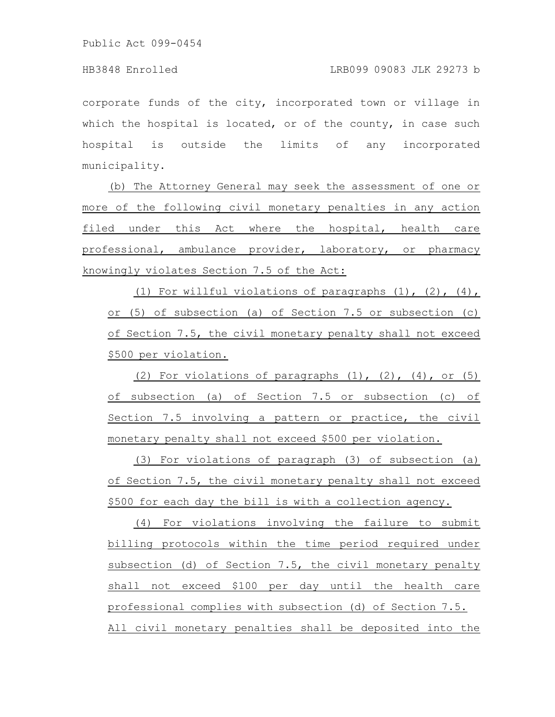corporate funds of the city, incorporated town or village in which the hospital is located, or of the county, in case such hospital is outside the limits of any incorporated municipality.

(b) The Attorney General may seek the assessment of one or more of the following civil monetary penalties in any action filed under this Act where the hospital, health care professional, ambulance provider, laboratory, or pharmacy knowingly violates Section 7.5 of the Act:

(1) For willful violations of paragraphs  $(1)$ ,  $(2)$ ,  $(4)$ , or (5) of subsection (a) of Section 7.5 or subsection (c) of Section 7.5, the civil monetary penalty shall not exceed \$500 per violation.

(2) For violations of paragraphs  $(1)$ ,  $(2)$ ,  $(4)$ , or  $(5)$ of subsection (a) of Section 7.5 or subsection (c) of Section 7.5 involving a pattern or practice, the civil monetary penalty shall not exceed \$500 per violation.

(3) For violations of paragraph (3) of subsection (a) of Section 7.5, the civil monetary penalty shall not exceed \$500 for each day the bill is with a collection agency.

(4) For violations involving the failure to submit billing protocols within the time period required under subsection (d) of Section 7.5, the civil monetary penalty shall not exceed \$100 per day until the health care professional complies with subsection (d) of Section 7.5. All civil monetary penalties shall be deposited into the